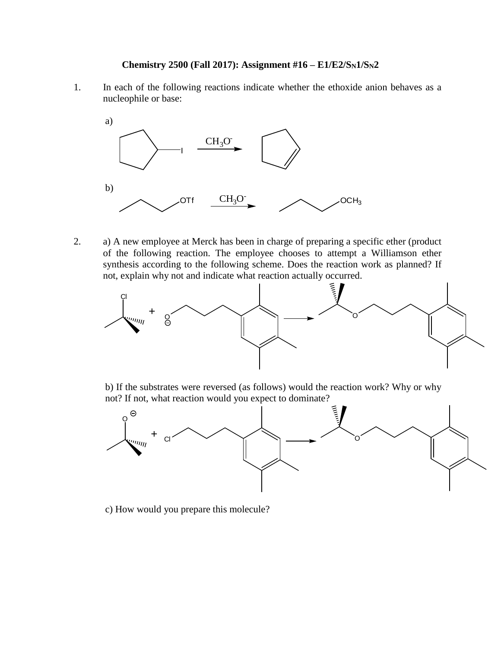## **Chemistry 2500 (Fall 2017): Assignment #16 – E1/E2/SN1/SN2**

1. In each of the following reactions indicate whether the ethoxide anion behaves as a nucleophile or base:



2. a) A new employee at Merck has been in charge of preparing a specific ether (product of the following reaction. The employee chooses to attempt a Williamson ether synthesis according to the following scheme. Does the reaction work as planned? If not, explain why not and indicate what reaction actually occurred.



b) If the substrates were reversed (as follows) would the reaction work? Why or why



c) How would you prepare this molecule?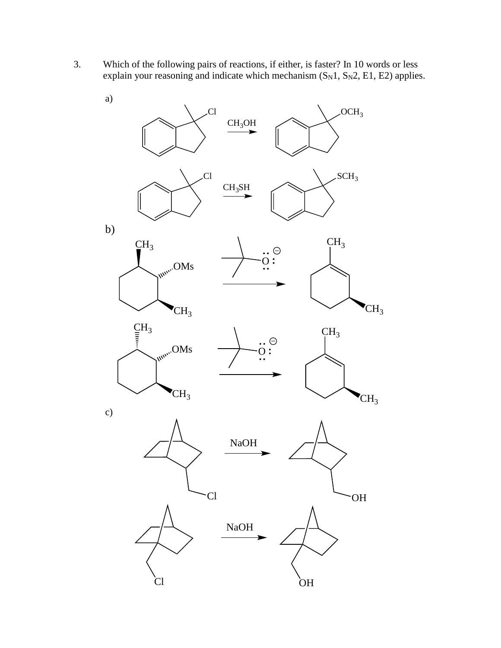3. Which of the following pairs of reactions, if either, is faster? In 10 words or less explain your reasoning and indicate which mechanism  $(S_N1, S_N2, E1, E2)$  applies.

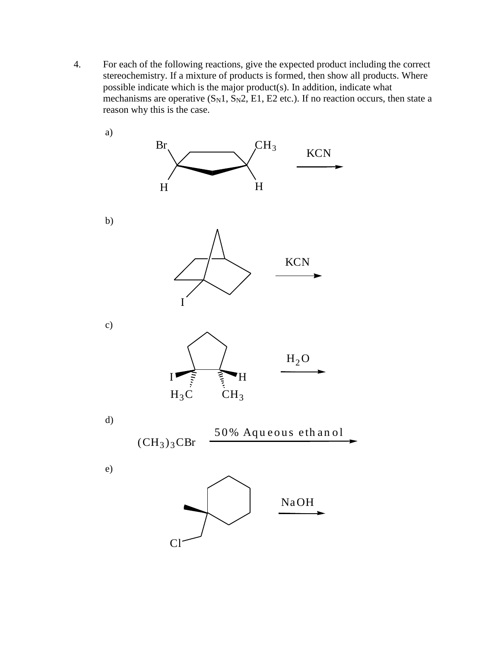$\overline{4}$ . For each of the following reactions, give the expected product including the correct stereochemistry. If a mixture of products is formed, then show all products. Where possible indicate which is the major product(s). In addition, indicate what mechanisms are operative  $(S_N1, S_N2, E1, E2$  etc.). If no reaction occurs, then state a reason why this is the case.

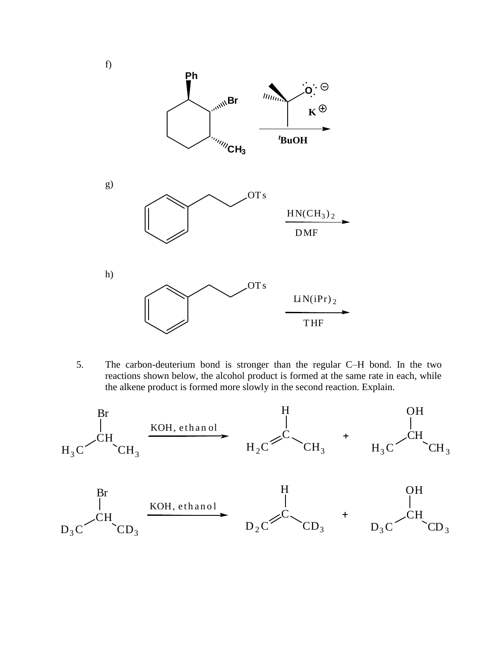

5. The carbon-deuterium bond is stronger than the regular C–H bond. In the two reactions shown below, the alcohol product is formed at the same rate in each, while the alkene product is formed more slowly in the second reaction. Explain.

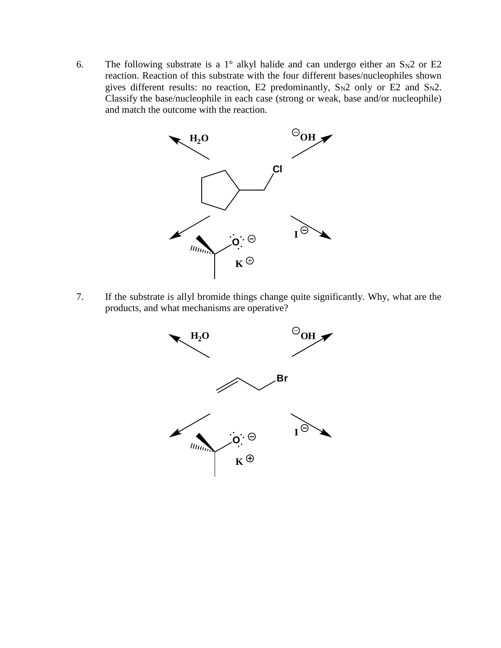6. The following substrate is a 1° alkyl halide and can undergo either an  $S_N2$  or E2 reaction. Reaction of this substrate with the four different bases/nucleophiles shown gives different results: no reaction, E2 predominantly,  $S_N2$  only or E2 and  $S_N2$ . Classify the base/nucleophile in each case (strong or weak, base and/or nucleophile) and match the outcome with the reaction.



7. If the substrate is allyl bromide things change quite significantly. Why, what are the products, and what mechanisms are operative?